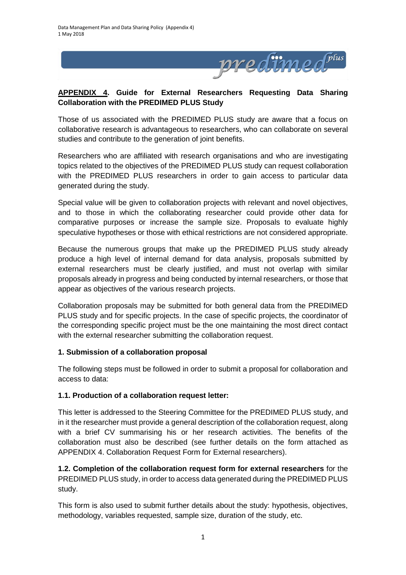

## **APPENDIX 4. Guide for External Researchers Requesting Data Sharing Collaboration with the PREDIMED PLUS Study**

Those of us associated with the PREDIMED PLUS study are aware that a focus on collaborative research is advantageous to researchers, who can collaborate on several studies and contribute to the generation of joint benefits.

Researchers who are affiliated with research organisations and who are investigating topics related to the objectives of the PREDIMED PLUS study can request collaboration with the PREDIMED PLUS researchers in order to gain access to particular data generated during the study.

Special value will be given to collaboration projects with relevant and novel objectives, and to those in which the collaborating researcher could provide other data for comparative purposes or increase the sample size. Proposals to evaluate highly speculative hypotheses or those with ethical restrictions are not considered appropriate.

Because the numerous groups that make up the PREDIMED PLUS study already produce a high level of internal demand for data analysis, proposals submitted by external researchers must be clearly justified, and must not overlap with similar proposals already in progress and being conducted by internal researchers, or those that appear as objectives of the various research projects.

Collaboration proposals may be submitted for both general data from the PREDIMED PLUS study and for specific projects. In the case of specific projects, the coordinator of the corresponding specific project must be the one maintaining the most direct contact with the external researcher submitting the collaboration request.

## **1. Submission of a collaboration proposal**

The following steps must be followed in order to submit a proposal for collaboration and access to data:

#### **1.1. Production of a collaboration request letter:**

This letter is addressed to the Steering Committee for the PREDIMED PLUS study, and in it the researcher must provide a general description of the collaboration request, along with a brief CV summarising his or her research activities. The benefits of the collaboration must also be described (see further details on the form attached as APPENDIX 4. Collaboration Request Form for External researchers).

**1.2. Completion of the collaboration request form for external researchers** for the PREDIMED PLUS study, in order to access data generated during the PREDIMED PLUS study.

This form is also used to submit further details about the study: hypothesis, objectives, methodology, variables requested, sample size, duration of the study, etc.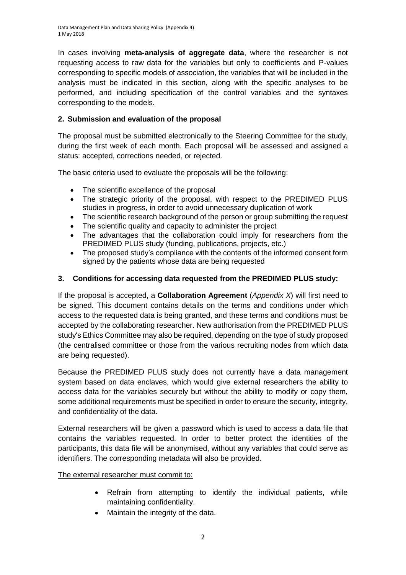In cases involving **meta-analysis of aggregate data**, where the researcher is not requesting access to raw data for the variables but only to coefficients and P-values corresponding to specific models of association, the variables that will be included in the analysis must be indicated in this section, along with the specific analyses to be performed, and including specification of the control variables and the syntaxes corresponding to the models.

# **2. Submission and evaluation of the proposal**

The proposal must be submitted electronically to the Steering Committee for the study, during the first week of each month. Each proposal will be assessed and assigned a status: accepted, corrections needed, or rejected.

The basic criteria used to evaluate the proposals will be the following:

- The scientific excellence of the proposal
- The strategic priority of the proposal, with respect to the PREDIMED PLUS studies in progress, in order to avoid unnecessary duplication of work
- The scientific research background of the person or group submitting the request
- The scientific quality and capacity to administer the project
- The advantages that the collaboration could imply for researchers from the PREDIMED PLUS study (funding, publications, projects, etc.)
- The proposed study's compliance with the contents of the informed consent form signed by the patients whose data are being requested

### **3. Conditions for accessing data requested from the PREDIMED PLUS study:**

If the proposal is accepted, a **Collaboration Agreement** (*Appendix X*) will first need to be signed. This document contains details on the terms and conditions under which access to the requested data is being granted, and these terms and conditions must be accepted by the collaborating researcher. New authorisation from the PREDIMED PLUS study's Ethics Committee may also be required, depending on the type of study proposed (the centralised committee or those from the various recruiting nodes from which data are being requested).

Because the PREDIMED PLUS study does not currently have a data management system based on data enclaves, which would give external researchers the ability to access data for the variables securely but without the ability to modify or copy them, some additional requirements must be specified in order to ensure the security, integrity, and confidentiality of the data.

External researchers will be given a password which is used to access a data file that contains the variables requested. In order to better protect the identities of the participants, this data file will be anonymised, without any variables that could serve as identifiers. The corresponding metadata will also be provided.

The external researcher must commit to:

- Refrain from attempting to identify the individual patients, while maintaining confidentiality.
- Maintain the integrity of the data.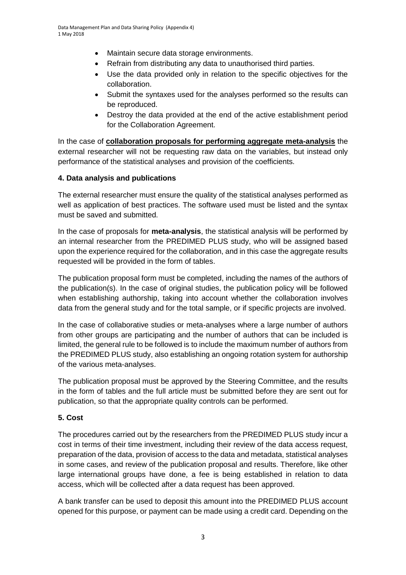- Maintain secure data storage environments.
- Refrain from distributing any data to unauthorised third parties.
- Use the data provided only in relation to the specific objectives for the collaboration.
- Submit the syntaxes used for the analyses performed so the results can be reproduced.
- Destroy the data provided at the end of the active establishment period for the Collaboration Agreement.

In the case of **collaboration proposals for performing aggregate meta-analysis** the external researcher will not be requesting raw data on the variables, but instead only performance of the statistical analyses and provision of the coefficients.

## **4. Data analysis and publications**

The external researcher must ensure the quality of the statistical analyses performed as well as application of best practices. The software used must be listed and the syntax must be saved and submitted.

In the case of proposals for **meta-analysis**, the statistical analysis will be performed by an internal researcher from the PREDIMED PLUS study, who will be assigned based upon the experience required for the collaboration, and in this case the aggregate results requested will be provided in the form of tables.

The publication proposal form must be completed, including the names of the authors of the publication(s). In the case of original studies, the publication policy will be followed when establishing authorship, taking into account whether the collaboration involves data from the general study and for the total sample, or if specific projects are involved.

In the case of collaborative studies or meta-analyses where a large number of authors from other groups are participating and the number of authors that can be included is limited, the general rule to be followed is to include the maximum number of authors from the PREDIMED PLUS study, also establishing an ongoing rotation system for authorship of the various meta-analyses.

The publication proposal must be approved by the Steering Committee, and the results in the form of tables and the full article must be submitted before they are sent out for publication, so that the appropriate quality controls can be performed.

## **5. Cost**

The procedures carried out by the researchers from the PREDIMED PLUS study incur a cost in terms of their time investment, including their review of the data access request, preparation of the data, provision of access to the data and metadata, statistical analyses in some cases, and review of the publication proposal and results. Therefore, like other large international groups have done, a fee is being established in relation to data access, which will be collected after a data request has been approved.

A bank transfer can be used to deposit this amount into the PREDIMED PLUS account opened for this purpose, or payment can be made using a credit card. Depending on the